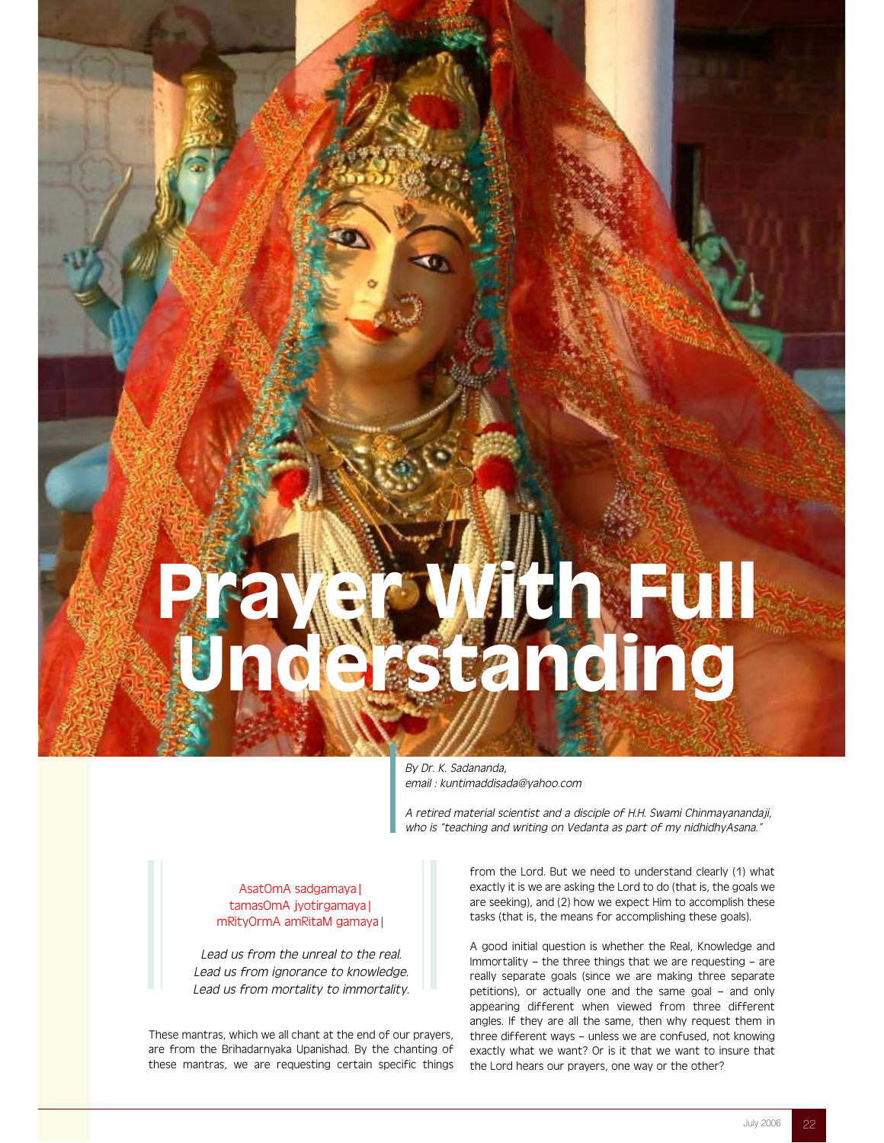# Prayer With Full Understanding

By Dr. K. Sadananda, email : kuntimaddisada@yahoo.com

A retired material scientist and a disciple of H.H. Swami Chinmayanandaji, who is "teaching and writing on Vedanta as part of my nidhidhyAsana."

# AsatOmA sadgamaya| tamasOmA jyotirgamaya| mRityOrmA amRitaM gamaya|

Lead us from the unreal to the real. Lead us from ignorance to knowledge. Lead us from mortality to immortality.

These mantras, which we all chant at the end of our prayers, are from the Brihadarnyaka Upanishad. By the chanting of these mantras, we are requesting certain specific things from the Lord. But we need to understand clearly (1) what exactly it is we are asking the Lord to do (that is, the goals we are seeking), and (2) how we expect Him to accomplish these tasks (that is, the means for accomplishing these goals).

A good initial question is whether the Real, Knowledge and Immortality – the three things that we are requesting – are really separate goals (since we are making three separate petitions), or actually one and the same goal – and only appearing different when viewed from three different angles. If they are all the same, then why request them in three different ways – unless we are confused, not knowing exactly what we want? Or is it that we want to insure that the Lord hears our prayers, one way or the other?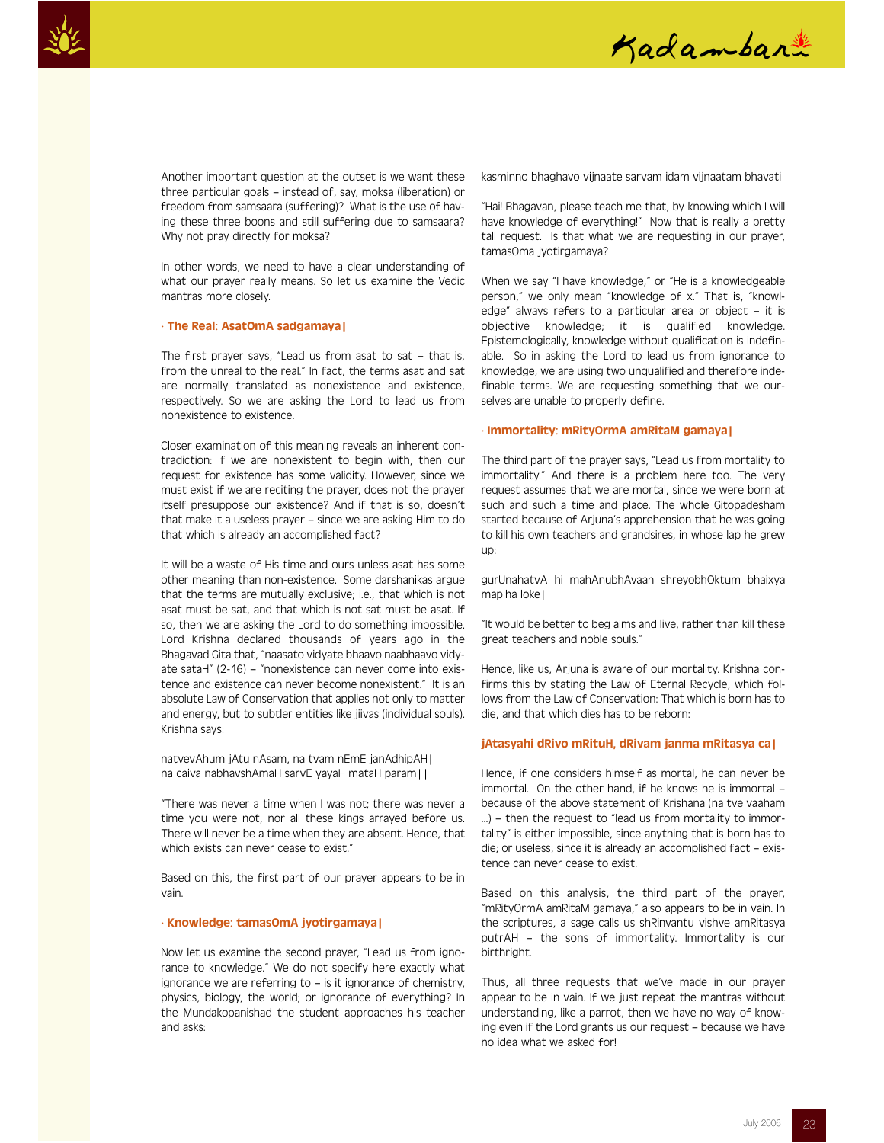



Another important question at the outset is we want these three particular goals – instead of, say, moksa (liberation) or freedom from samsaara (suffering)? What is the use of having these three boons and still suffering due to samsaara? Why not pray directly for moksa?

In other words, we need to have a clear understanding of what our prayer really means. So let us examine the Vedic mantras more closely.

## · The Real: AsatOmA sadgamaya|

The first prayer says, "Lead us from asat to sat – that is, from the unreal to the real." In fact, the terms asat and sat are normally translated as nonexistence and existence, respectively. So we are asking the Lord to lead us from nonexistence to existence.

Closer examination of this meaning reveals an inherent contradiction: If we are nonexistent to begin with, then our request for existence has some validity. However, since we must exist if we are reciting the prayer, does not the prayer itself presuppose our existence? And if that is so, doesn't that make it a useless prayer – since we are asking Him to do that which is already an accomplished fact?

It will be a waste of His time and ours unless asat has some other meaning than non-existence. Some darshanikas argue that the terms are mutually exclusive; i.e., that which is not asat must be sat, and that which is not sat must be asat. If so, then we are asking the Lord to do something impossible. Lord Krishna declared thousands of years ago in the Bhagavad Gita that, "naasato vidyate bhaavo naabhaavo vidyate sataH" (2-16) – "nonexistence can never come into existence and existence can never become nonexistent." It is an absolute Law of Conservation that applies not only to matter and energy, but to subtler entities like jiivas (individual souls). Krishna says:

natvevAhum jAtu nAsam, na tvam nEmE janAdhipAH| na caiva nabhavshAmaH sarvE yayaH mataH param||

"There was never a time when I was not; there was never a time you were not, nor all these kings arrayed before us. There will never be a time when they are absent. Hence, that which exists can never cease to exist."

Based on this, the first part of our prayer appears to be in vain.

## · Knowledge: tamasOmA jyotirgamaya|

Now let us examine the second prayer, "Lead us from ignorance to knowledge." We do not specify here exactly what ignorance we are referring to – is it ignorance of chemistry, physics, biology, the world; or ignorance of everything? In the Mundakopanishad the student approaches his teacher and asks:

kasminno bhaghavo vijnaate sarvam idam vijnaatam bhavati

"Hai! Bhagavan, please teach me that, by knowing which I will have knowledge of everything!" Now that is really a pretty tall request. Is that what we are requesting in our prayer, tamasOma jyotirgamaya?

When we say "I have knowledge," or "He is a knowledgeable person," we only mean "knowledge of x." That is, "knowledge" always refers to a particular area or object – it is objective knowledge; it is qualified knowledge. Epistemologically, knowledge without qualification is indefinable. So in asking the Lord to lead us from ignorance to knowledge, we are using two unqualified and therefore indefinable terms. We are requesting something that we ourselves are unable to properly define.

## · Immortality: mRityOrmA amRitaM gamaya|

The third part of the prayer says, "Lead us from mortality to immortality." And there is a problem here too. The very request assumes that we are mortal, since we were born at such and such a time and place. The whole Gitopadesham started because of Arjuna's apprehension that he was going to kill his own teachers and grandsires, in whose lap he grew up:

gurUnahatvA hi mahAnubhAvaan shreyobhOktum bhaixya mapIha loke|

"It would be better to beg alms and live, rather than kill these great teachers and noble souls."

Hence, like us, Arjuna is aware of our mortality. Krishna confirms this by stating the Law of Eternal Recycle, which follows from the Law of Conservation: That which is born has to die, and that which dies has to be reborn:

## jAtasyahi dRivo mRituH, dRivam janma mRitasya ca|

Hence, if one considers himself as mortal, he can never be immortal. On the other hand, if he knows he is immortal – because of the above statement of Krishana (na tve vaaham ...) – then the request to "lead us from mortality to immortality" is either impossible, since anything that is born has to die; or useless, since it is already an accomplished fact – existence can never cease to exist.

Based on this analysis, the third part of the prayer, "mRityOrmA amRitaM gamaya," also appears to be in vain. In the scriptures, a sage calls us shRinvantu vishve amRitasya putrAH – the sons of immortality. Immortality is our birthright.

Thus, all three requests that we've made in our prayer appear to be in vain. If we just repeat the mantras without understanding, like a parrot, then we have no way of knowing even if the Lord grants us our request – because we have no idea what we asked for!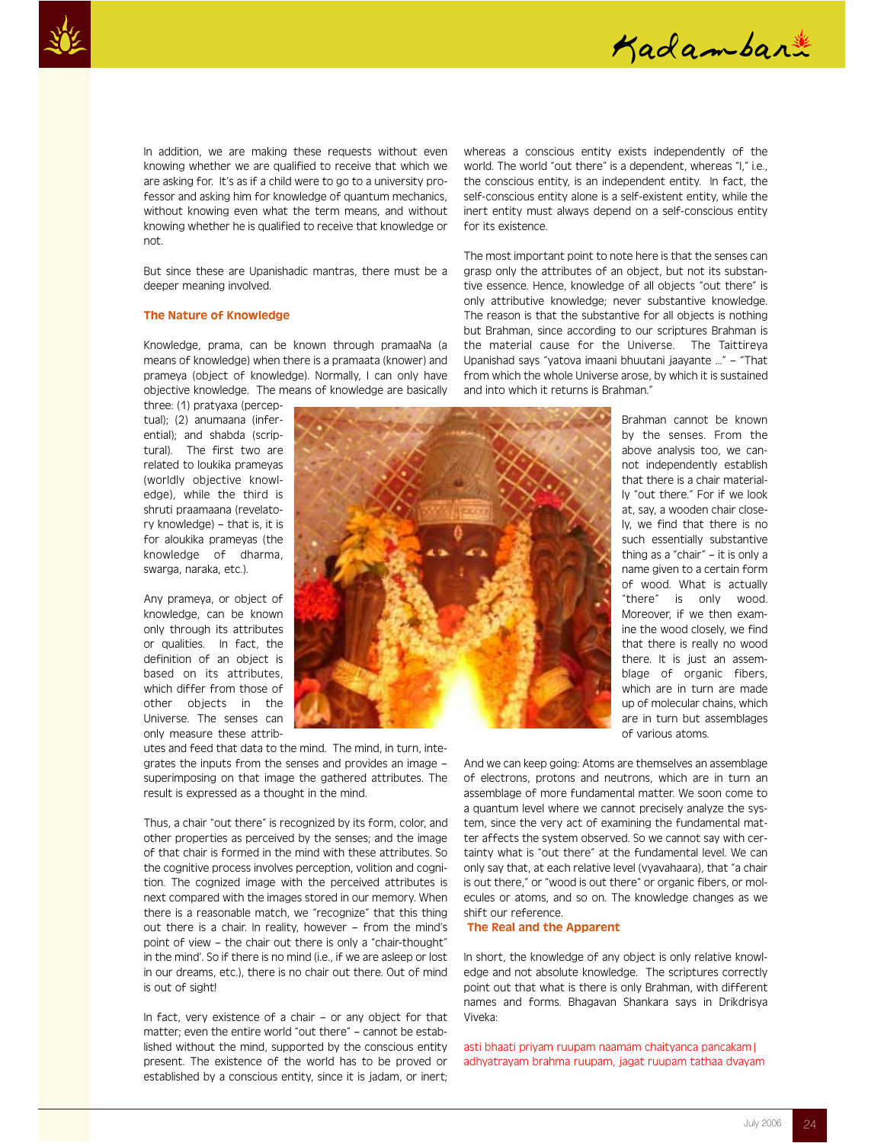



In addition, we are making these requests without even knowing whether we are qualified to receive that which we are asking for. It's as if a child were to go to a university professor and asking him for knowledge of quantum mechanics, without knowing even what the term means, and without knowing whether he is qualified to receive that knowledge or not.

But since these are Upanishadic mantras, there must be a deeper meaning involved.

# The Nature of Knowledge

Knowledge, prama, can be known through pramaaNa (a means of knowledge) when there is a pramaata (knower) and prameya (object of knowledge). Normally, I can only have objective knowledge. The means of knowledge are basically

three: (1) pratyaxa (perceptual); (2) anumaana (inferential); and shabda (scriptural). The first two are related to loukika prameyas (worldly objective knowledge), while the third is shruti praamaana (revelatory knowledge) – that is, it is for aloukika prameyas (the knowledge of dharma, swarga, naraka, etc.).

Any prameya, or object of knowledge, can be known only through its attributes or qualities. In fact, the definition of an object is based on its attributes, which differ from those of other objects in the Universe. The senses can only measure these attrib-

utes and feed that data to the mind. The mind, in turn, integrates the inputs from the senses and provides an image – superimposing on that image the gathered attributes. The result is expressed as a thought in the mind.

Thus, a chair "out there" is recognized by its form, color, and other properties as perceived by the senses; and the image of that chair is formed in the mind with these attributes. So the cognitive process involves perception, volition and cognition. The cognized image with the perceived attributes is next compared with the images stored in our memory. When there is a reasonable match, we "recognize" that this thing out there is a chair. In reality, however – from the mind's point of view – the chair out there is only a "chair-thought" in the mind'. So if there is no mind (i.e., if we are asleep or lost in our dreams, etc.), there is no chair out there. Out of mind is out of sight!

In fact, very existence of a chair – or any object for that matter; even the entire world "out there" – cannot be established without the mind, supported by the conscious entity present. The existence of the world has to be proved or established by a conscious entity, since it is jadam, or inert;

whereas a conscious entity exists independently of the world. The world "out there" is a dependent, whereas "I," i.e., the conscious entity, is an independent entity. In fact, the self-conscious entity alone is a self-existent entity, while the inert entity must always depend on a self-conscious entity for its existence.

The most important point to note here is that the senses can grasp only the attributes of an object, but not its substantive essence. Hence, knowledge of all objects "out there" is only attributive knowledge; never substantive knowledge. The reason is that the substantive for all objects is nothing but Brahman, since according to our scriptures Brahman is the material cause for the Universe. The Taittireya Upanishad says "yatova imaani bhuutani jaayante …" – "That from which the whole Universe arose, by which it is sustained and into which it returns is Brahman."



by the senses. From the above analysis too, we cannot independently establish that there is a chair materially "out there." For if we look at, say, a wooden chair closely, we find that there is no such essentially substantive thing as a "chair" – it is only a name given to a certain form of wood. What is actually "there" is only wood. Moreover, if we then examine the wood closely, we find that there is really no wood there. It is just an assemblage of organic fibers, which are in turn are made up of molecular chains, which are in turn but assemblages of various atoms.

Brahman cannot be known

And we can keep going: Atoms are themselves an assemblage of electrons, protons and neutrons, which are in turn an assemblage of more fundamental matter. We soon come to a quantum level where we cannot precisely analyze the system, since the very act of examining the fundamental matter affects the system observed. So we cannot say with certainty what is "out there" at the fundamental level. We can only say that, at each relative level (vyavahaara), that "a chair is out there," or "wood is out there" or organic fibers, or molecules or atoms, and so on. The knowledge changes as we shift our reference.

#### The Real and the Apparent

In short, the knowledge of any object is only relative knowledge and not absolute knowledge. The scriptures correctly point out that what is there is only Brahman, with different names and forms. Bhagavan Shankara says in Drikdrisya Viveka:

asti bhaati priyam ruupam naamam chaityanca pancakam| adhyatrayam brahma ruupam, jagat ruupam tathaa dvayam